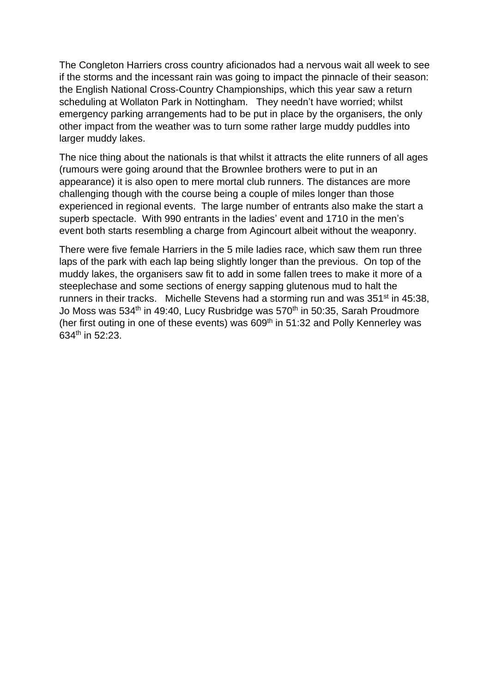The Congleton Harriers cross country aficionados had a nervous wait all week to see if the storms and the incessant rain was going to impact the pinnacle of their season: the English National Cross-Country Championships, which this year saw a return scheduling at Wollaton Park in Nottingham. They needn't have worried; whilst emergency parking arrangements had to be put in place by the organisers, the only other impact from the weather was to turn some rather large muddy puddles into larger muddy lakes.

The nice thing about the nationals is that whilst it attracts the elite runners of all ages (rumours were going around that the Brownlee brothers were to put in an appearance) it is also open to mere mortal club runners. The distances are more challenging though with the course being a couple of miles longer than those experienced in regional events. The large number of entrants also make the start a superb spectacle. With 990 entrants in the ladies' event and 1710 in the men's event both starts resembling a charge from Agincourt albeit without the weaponry.

There were five female Harriers in the 5 mile ladies race, which saw them run three laps of the park with each lap being slightly longer than the previous. On top of the muddy lakes, the organisers saw fit to add in some fallen trees to make it more of a steeplechase and some sections of energy sapping glutenous mud to halt the runners in their tracks. Michelle Stevens had a storming run and was 351<sup>st</sup> in 45:38, Jo Moss was 534<sup>th</sup> in 49:40, Lucy Rusbridge was 570<sup>th</sup> in 50:35, Sarah Proudmore (her first outing in one of these events) was 609<sup>th</sup> in 51:32 and Polly Kennerley was 634th in 52:23.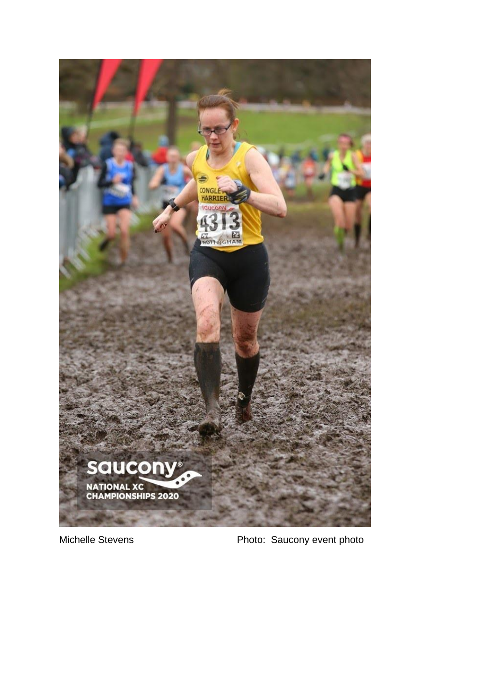

Michelle Stevens **Photo:** Saucony event photo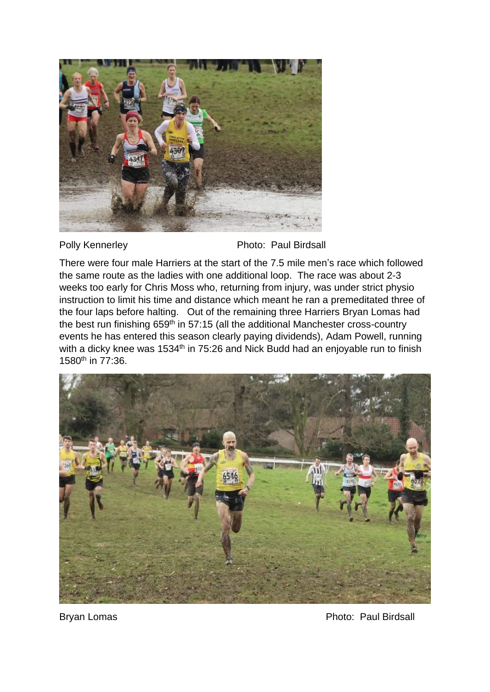

Polly Kennerley **Photo: Paul Birdsall** 

There were four male Harriers at the start of the 7.5 mile men's race which followed the same route as the ladies with one additional loop. The race was about 2-3 weeks too early for Chris Moss who, returning from injury, was under strict physio instruction to limit his time and distance which meant he ran a premeditated three of the four laps before halting. Out of the remaining three Harriers Bryan Lomas had the best run finishing 659<sup>th</sup> in 57:15 (all the additional Manchester cross-country events he has entered this season clearly paying dividends), Adam Powell, running with a dicky knee was 1534<sup>th</sup> in 75:26 and Nick Budd had an enjoyable run to finish 1580th in 77:36.



Bryan Lomas **Photo: Paul Birdsall**